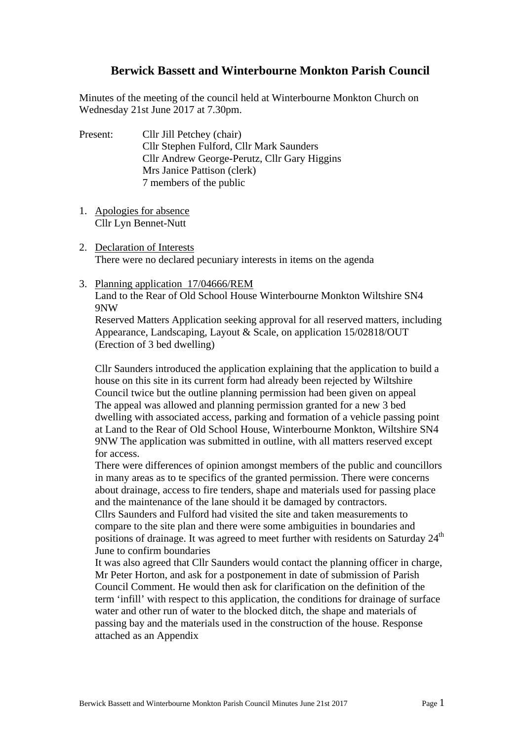## **Berwick Bassett and Winterbourne Monkton Parish Council**

Minutes of the meeting of the council held at Winterbourne Monkton Church on Wednesday 21st June 2017 at 7.30pm.

Present: Cllr Jill Petchey (chair) Cllr Stephen Fulford, Cllr Mark Saunders Cllr Andrew George-Perutz, Cllr Gary Higgins Mrs Janice Pattison (clerk) 7 members of the public

- 1. Apologies for absence Cllr Lyn Bennet-Nutt
- 2. Declaration of Interests There were no declared pecuniary interests in items on the agenda
- 3. Planning application 17/04666/REM

Land to the Rear of Old School House Winterbourne Monkton Wiltshire SN4 9NW

Reserved Matters Application seeking approval for all reserved matters, including Appearance, Landscaping, Layout & Scale, on application 15/02818/OUT (Erection of 3 bed dwelling)

Cllr Saunders introduced the application explaining that the application to build a house on this site in its current form had already been rejected by Wiltshire Council twice but the outline planning permission had been given on appeal The appeal was allowed and planning permission granted for a new 3 bed dwelling with associated access, parking and formation of a vehicle passing point at Land to the Rear of Old School House, Winterbourne Monkton, Wiltshire SN4 9NW The application was submitted in outline, with all matters reserved except for access.

There were differences of opinion amongst members of the public and councillors in many areas as to te specifics of the granted permission. There were concerns about drainage, access to fire tenders, shape and materials used for passing place and the maintenance of the lane should it be damaged by contractors.

Cllrs Saunders and Fulford had visited the site and taken measurements to compare to the site plan and there were some ambiguities in boundaries and positions of drainage. It was agreed to meet further with residents on Saturday 24<sup>th</sup> June to confirm boundaries

It was also agreed that Cllr Saunders would contact the planning officer in charge, Mr Peter Horton, and ask for a postponement in date of submission of Parish Council Comment. He would then ask for clarification on the definition of the term 'infill' with respect to this application, the conditions for drainage of surface water and other run of water to the blocked ditch, the shape and materials of passing bay and the materials used in the construction of the house. Response attached as an Appendix